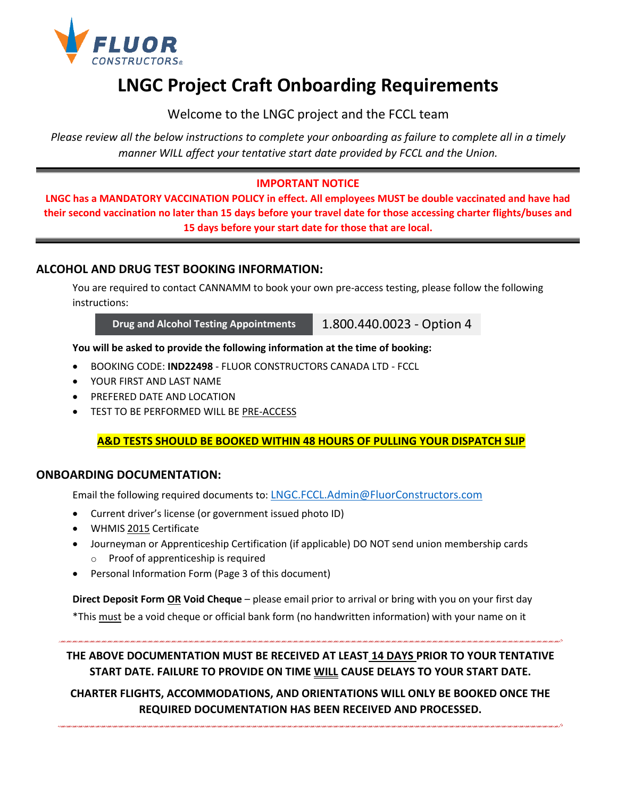

## **LNGC Project Craft Onboarding Requirements**

Welcome to the LNGC project and the FCCL team

*Please review all the below instructions to complete your onboarding as failure to complete all in a timely manner WILL affect your tentative start date provided by FCCL and the Union.*

#### **IMPORTANT NOTICE**

**LNGC has a MANDATORY VACCINATION POLICY in effect. All employees MUST be double vaccinated and have had their second vaccination no later than 15 days before your travel date for those accessing charter flights/buses and 15 days before your start date for those that are local.**

#### **ALCOHOL AND DRUG TEST BOOKING INFORMATION:**

You are required to contact CANNAMM to book your own pre-access testing, please follow the following instructions:

**Drug and Alcohol Testing Appointments** 1.800.440.0023 - Option 4

**You will be asked to provide the following information at the time of booking:**

- BOOKING CODE: **IND22498** FLUOR CONSTRUCTORS CANADA LTD FCCL
- YOUR FIRST AND LAST NAME
- PREFERED DATE AND LOCATION
- TEST TO BE PERFORMED WILL BE PRE-ACCESS

#### **A&D TESTS SHOULD BE BOOKED WITHIN 48 HOURS OF PULLING YOUR DISPATCH SLIP**

#### **ONBOARDING DOCUMENTATION:**

Email the following required documents to: [LNGC.FCCL.Admin@FluorConstructors.com](mailto:LNGC.FCCL.Admin@FluorConstructors.com)

- Current driver's license (or government issued photo ID)
- WHMIS 2015 Certificate
- Journeyman or Apprenticeship Certification (if applicable) DO NOT send union membership cards o Proof of apprenticeship is required
- Personal Information Form (Page 3 of this document)

**Direct Deposit Form OR Void Cheque** – please email prior to arrival or bring with you on your first day \*This must be a void cheque or official bank form (no handwritten information) with your name on it

**THE ABOVE DOCUMENTATION MUST BE RECEIVED AT LEAST 14 DAYS PRIOR TO YOUR TENTATIVE START DATE. FAILURE TO PROVIDE ON TIME WILL CAUSE DELAYS TO YOUR START DATE.**

**CHARTER FLIGHTS, ACCOMMODATIONS, AND ORIENTATIONS WILL ONLY BE BOOKED ONCE THE REQUIRED DOCUMENTATION HAS BEEN RECEIVED AND PROCESSED.**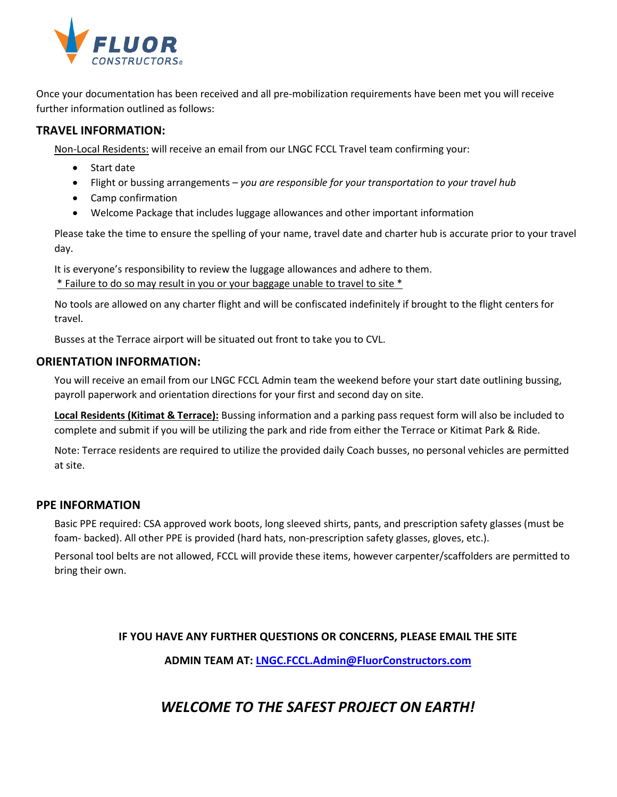

Once your documentation has been received and all pre-mobilization requirements have been met you will receive further information outlined as follows:

#### **TRAVEL INFORMATION:**

Non-Local Residents: will receive an email from our LNGC FCCL Travel team confirming your:

- Start date
- Flight or bussing arrangements *you are responsible for your transportation to your travel hub*
- Camp confirmation
- Welcome Package that includes luggage allowances and other important information

Please take the time to ensure the spelling of your name, travel date and charter hub is accurate prior to your travel day.

It is everyone's responsibility to review the luggage allowances and adhere to them.

\* Failure to do so may result in you or your baggage unable to travel to site \*

No tools are allowed on any charter flight and will be confiscated indefinitely if brought to the flight centers for travel.

Busses at the Terrace airport will be situated out front to take you to CVL.

#### **ORIENTATION INFORMATION:**

You will receive an email from our LNGC FCCL Admin team the weekend before your start date outlining bussing, payroll paperwork and orientation directions for your first and second day on site.

**Local Residents (Kitimat & Terrace):** Bussing information and a parking pass request form will also be included to complete and submit if you will be utilizing the park and ride from either the Terrace or Kitimat Park & Ride.

Note: Terrace residents are required to utilize the provided daily Coach busses, no personal vehicles are permitted at site.

#### **PPE INFORMATION**

Basic PPE required: CSA approved work boots, long sleeved shirts, pants, and prescription safety glasses (must be foam- backed). All other PPE is provided (hard hats, non-prescription safety glasses, gloves, etc.).

Personal tool belts are not allowed, FCCL will provide these items, however carpenter/scaffolders are permitted to bring their own.

**IF YOU HAVE ANY FURTHER QUESTIONS OR CONCERNS, PLEASE EMAIL THE SITE**

**ADMIN TEAM AT: [LNGC.FCCL.Admin@FluorConstructors.com](mailto:LNGC.FCCL.Admin@FluorConstructors.com)**

### *WELCOME TO THE SAFEST PROJECT ON EARTH!*